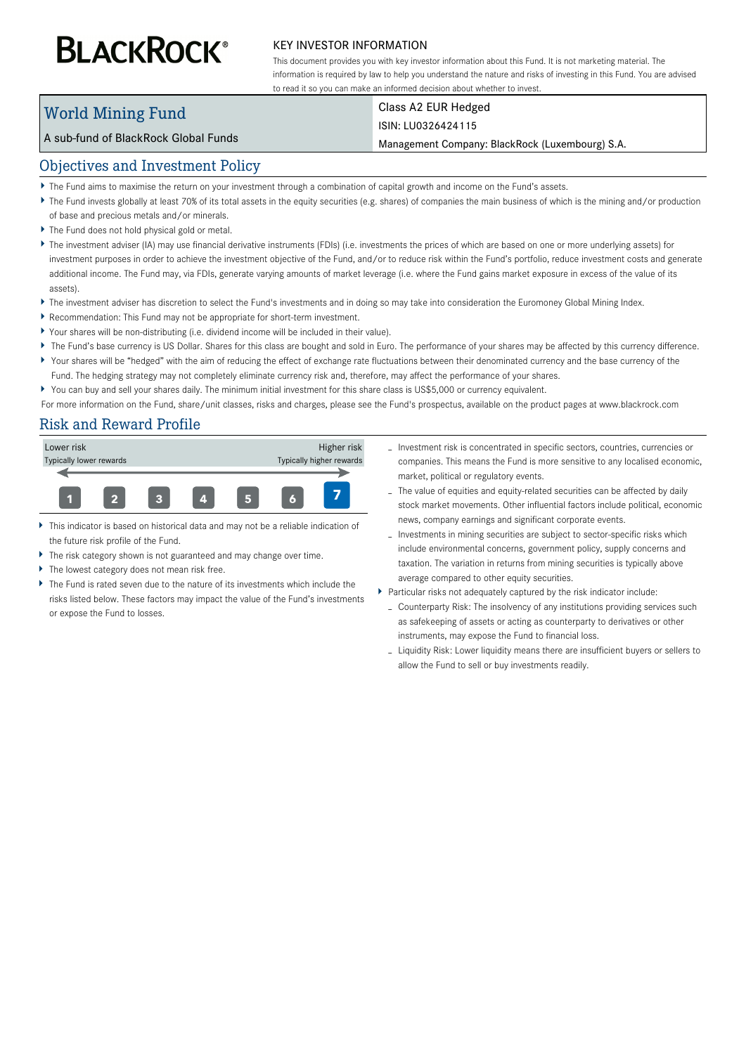# **BLACKROCK®**

#### KEY INVESTOR INFORMATION

This document provides you with key investor information about this Fund. It is not marketing material. The information is required by law to help you understand the nature and risks of investing in this Fund. You are advised to read it so you can make an informed decision about whether to invest.

## World Mining Fund

### Class A2 EUR Hedged

#### ISIN: LU0326424115

Management Company: BlackRock (Luxembourg) S.A.

#### Objectives and Investment Policy

A sub-fund of BlackRock Global Funds

- The Fund aims to maximise the return on your investment through a combination of capital growth and income on the Fund's assets.
- ▶ The Fund invests globally at least 70% of its total assets in the equity securities (e.g. shares) of companies the main business of which is the mining and/or production of base and precious metals and/or minerals.
- The Fund does not hold physical gold or metal.
- ▶ The investment adviser (IA) may use financial derivative instruments (FDIs) (i.e. investments the prices of which are based on one or more underlying assets) for investment purposes in order to achieve the investment objective of the Fund, and/or to reduce risk within the Fund's portfolio, reduce investment costs and generate additional income. The Fund may, via FDIs, generate varying amounts of market leverage (i.e. where the Fund gains market exposure in excess of the value of its assets).
- ▶ The investment adviser has discretion to select the Fund's investments and in doing so may take into consideration the Euromoney Global Mining Index.
- Recommendation: This Fund may not be appropriate for short-term investment.
- Your shares will be non-distributing (i.e. dividend income will be included in their value).
- ▶ The Fund's base currency is US Dollar. Shares for this class are bought and sold in Euro. The performance of your shares may be affected by this currency difference.
- Your shares will be "hedged" with the aim of reducing the effect of exchange rate fluctuations between their denominated currency and the base currency of the Fund. The hedging strategy may not completely eliminate currency risk and, therefore, may affect the performance of your shares.
- You can buy and sell your shares daily. The minimum initial investment for this share class is US\$5,000 or currency equivalent.

For more information on the Fund, share/unit classes, risks and charges, please see the Fund's prospectus, available on the product pages at www.blackrock.com

#### Risk and Reward Profile



- This indicator is based on historical data and may not be a reliable indication of the future risk profile of the Fund.
- The risk category shown is not guaranteed and may change over time.
- The lowest category does not mean risk free.
- The Fund is rated seven due to the nature of its investments which include the risks listed below. These factors may impact the value of the Fund's investments or expose the Fund to losses.
- Investment risk is concentrated in specific sectors, countries, currencies or companies. This means the Fund is more sensitive to any localised economic, market, political or regulatory events.
- The value of equities and equity-related securities can be affected by daily stock market movements. Other influential factors include political, economic news, company earnings and significant corporate events.
- Investments in mining securities are subject to sector-specific risks which include environmental concerns, government policy, supply concerns and taxation. The variation in returns from mining securities is typically above average compared to other equity securities.
- Particular risks not adequately captured by the risk indicator include:
	- Counterparty Risk: The insolvency of any institutions providing services such as safekeeping of assets or acting as counterparty to derivatives or other instruments, may expose the Fund to financial loss.
	- Liquidity Risk: Lower liquidity means there are insufficient buyers or sellers to allow the Fund to sell or buy investments readily.